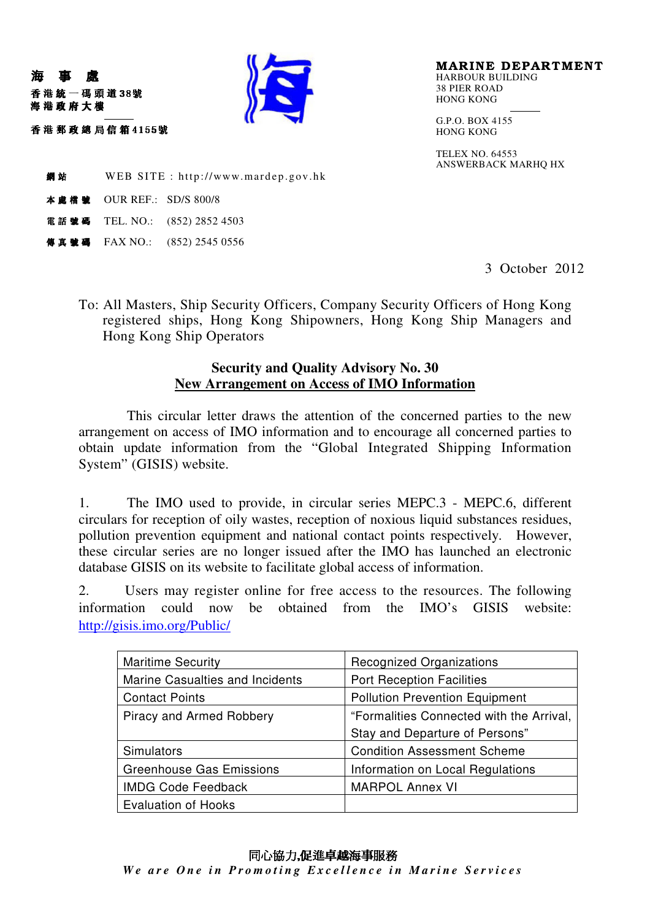

MARINE DEPARTMENT HARBOUR BUILDING 38 PIER ROAD HONG KONG

G.P.O. BOX 4155 HONG KONG

TELEX NO. 64553 ANSWERBACK MARHQ HX

**網站** WEB SITE : http://www.mardep.gov.hk

<sup>798</sup> <sup>7</sup> 88:; :;OUR REF.: SD/S 800/8

"!!

吞 港 郵 政 總 局 信 箱 4155號

海 事 處

海港政府大樓

電話號碼 TEL. NO.:  $(852) 2852 4503$ 

傳真號碼 FAX NO.: (852) 2545 0556

3 October 2012

To: All Masters, Ship Security Officers, Company Security Officers of Hong Kong registered ships, Hong Kong Shipowners, Hong Kong Ship Managers and Hong Kong Ship Operators

## **Security and Quality Advisory No. 30 New Arrangement on Access of IMO Information**

This circular letter draws the attention of the concerned parties to the new arrangement on access of IMO information and to encourage all concerned parties to obtain update information from the "Global Integrated Shipping Information System" (GISIS) website.

1. The IMO used to provide, in circular series MEPC.3 - MEPC.6, different circulars for reception of oily wastes, reception of noxious liquid substances residues, pollution prevention equipment and national contact points respectively. However, these circular series are no longer issued after the IMO has launched an electronic database GISIS on its website to facilitate global access of information.

2. Users may register online for free access to the resources. The following information could now be obtained from the IMO's GISIS website: http://gisis.imo.org/Public/

| <b>Maritime Security</b>        | <b>Recognized Organizations</b>          |
|---------------------------------|------------------------------------------|
| Marine Casualties and Incidents | <b>Port Reception Facilities</b>         |
| <b>Contact Points</b>           | <b>Pollution Prevention Equipment</b>    |
| Piracy and Armed Robbery        | "Formalities Connected with the Arrival, |
|                                 | Stay and Departure of Persons"           |
| Simulators                      | <b>Condition Assessment Scheme</b>       |
| <b>Greenhouse Gas Emissions</b> | Information on Local Regulations         |
| <b>IMDG Code Feedback</b>       | <b>MARPOL Annex VI</b>                   |
| <b>Evaluation of Hooks</b>      |                                          |